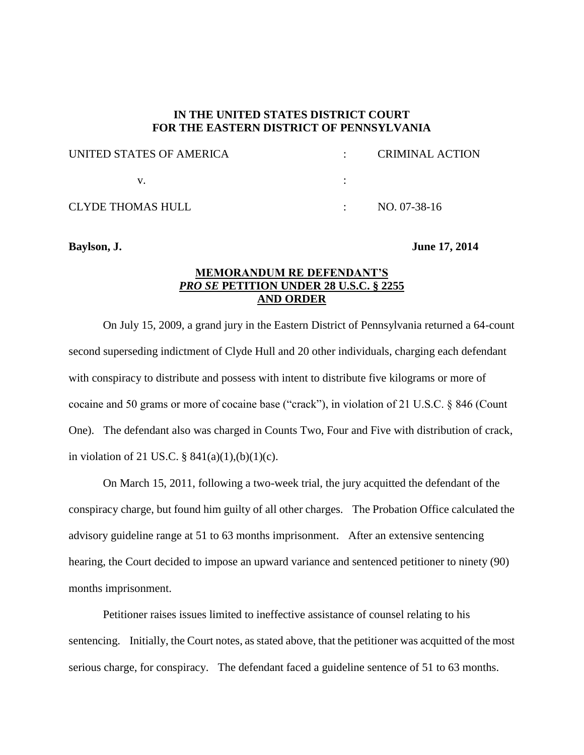## **IN THE UNITED STATES DISTRICT COURT FOR THE EASTERN DISTRICT OF PENNSYLVANIA**

| UNITED STATES OF AMERICA | <b>CRIMINAL ACTION</b> |
|--------------------------|------------------------|
|                          |                        |
| <b>CLYDE THOMAS HULL</b> | NO. 07-38-16           |

## **Baylson, J. June 17, 2014**

## **MEMORANDUM RE DEFENDANT'S** *PRO SE* **PETITION UNDER 28 U.S.C. § 2255 AND ORDER**

On July 15, 2009, a grand jury in the Eastern District of Pennsylvania returned a 64-count second superseding indictment of Clyde Hull and 20 other individuals, charging each defendant with conspiracy to distribute and possess with intent to distribute five kilograms or more of cocaine and 50 grams or more of cocaine base ("crack"), in violation of 21 U.S.C. § 846 (Count One). The defendant also was charged in Counts Two, Four and Five with distribution of crack, in violation of 21 US.C.  $\S 841(a)(1),(b)(1)(c)$ .

On March 15, 2011, following a two-week trial, the jury acquitted the defendant of the conspiracy charge, but found him guilty of all other charges. The Probation Office calculated the advisory guideline range at 51 to 63 months imprisonment. After an extensive sentencing hearing, the Court decided to impose an upward variance and sentenced petitioner to ninety (90) months imprisonment.

Petitioner raises issues limited to ineffective assistance of counsel relating to his sentencing. Initially, the Court notes, as stated above, that the petitioner was acquitted of the most serious charge, for conspiracy. The defendant faced a guideline sentence of 51 to 63 months.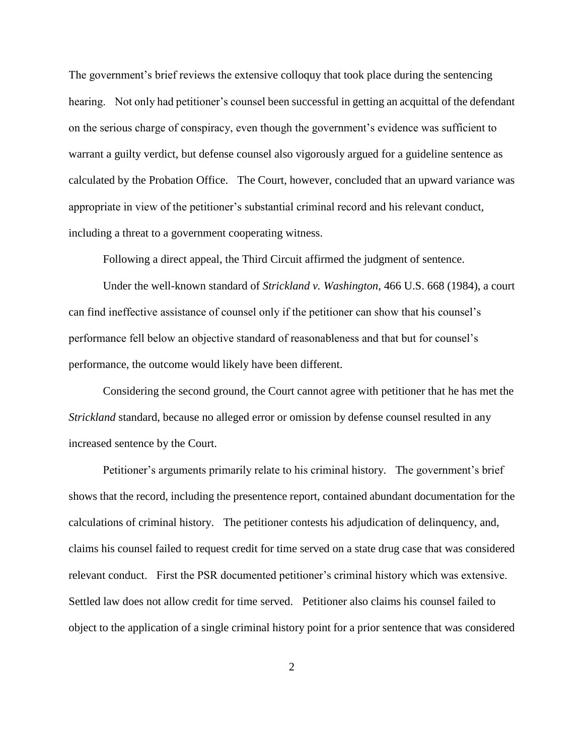The government's brief reviews the extensive colloquy that took place during the sentencing hearing. Not only had petitioner's counsel been successful in getting an acquittal of the defendant on the serious charge of conspiracy, even though the government's evidence was sufficient to warrant a guilty verdict, but defense counsel also vigorously argued for a guideline sentence as calculated by the Probation Office. The Court, however, concluded that an upward variance was appropriate in view of the petitioner's substantial criminal record and his relevant conduct, including a threat to a government cooperating witness.

Following a direct appeal, the Third Circuit affirmed the judgment of sentence.

Under the well-known standard of *Strickland v. Washington*, 466 U.S. 668 (1984), a court can find ineffective assistance of counsel only if the petitioner can show that his counsel's performance fell below an objective standard of reasonableness and that but for counsel's performance, the outcome would likely have been different.

Considering the second ground, the Court cannot agree with petitioner that he has met the *Strickland* standard, because no alleged error or omission by defense counsel resulted in any increased sentence by the Court.

Petitioner's arguments primarily relate to his criminal history. The government's brief shows that the record, including the presentence report, contained abundant documentation for the calculations of criminal history. The petitioner contests his adjudication of delinquency, and, claims his counsel failed to request credit for time served on a state drug case that was considered relevant conduct. First the PSR documented petitioner's criminal history which was extensive. Settled law does not allow credit for time served. Petitioner also claims his counsel failed to object to the application of a single criminal history point for a prior sentence that was considered